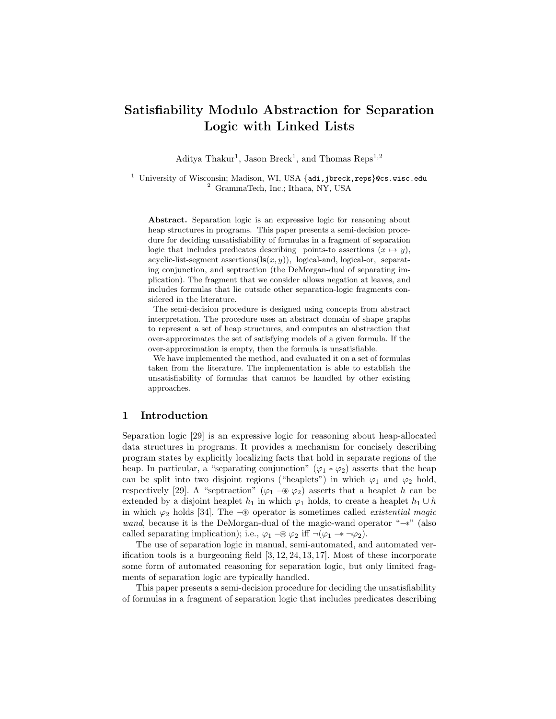# Satisfiability Modulo Abstraction for Separation Logic with Linked Lists

Aditya Thakur<sup>1</sup>, Jason Breck<sup>1</sup>, and Thomas Reps<sup>1,2</sup>

<sup>1</sup> University of Wisconsin; Madison, WI, USA  $\{$ adi,jbreck,reps $\}$ @cs.wisc.edu <sup>2</sup> GrammaTech, Inc.; Ithaca, NY, USA

Abstract. Separation logic is an expressive logic for reasoning about heap structures in programs. This paper presents a semi-decision procedure for deciding unsatisfiability of formulas in a fragment of separation logic that includes predicates describing points-to assertions  $(x \mapsto y)$ , acyclic-list-segment assertions( $\textbf{ls}(x, y)$ ), logical-and, logical-or, separating conjunction, and septraction (the DeMorgan-dual of separating implication). The fragment that we consider allows negation at leaves, and includes formulas that lie outside other separation-logic fragments considered in the literature.

The semi-decision procedure is designed using concepts from abstract interpretation. The procedure uses an abstract domain of shape graphs to represent a set of heap structures, and computes an abstraction that over-approximates the set of satisfying models of a given formula. If the over-approximation is empty, then the formula is unsatisfiable.

We have implemented the method, and evaluated it on a set of formulas taken from the literature. The implementation is able to establish the unsatisfiability of formulas that cannot be handled by other existing approaches.

#### 1 Introduction

Separation logic [29] is an expressive logic for reasoning about heap-allocated data structures in programs. It provides a mechanism for concisely describing program states by explicitly localizing facts that hold in separate regions of the heap. In particular, a "separating conjunction" ( $\varphi_1 * \varphi_2$ ) asserts that the heap can be split into two disjoint regions ("heaplets") in which  $\varphi_1$  and  $\varphi_2$  hold, respectively [29]. A "septraction" ( $\varphi_1 \neg \vartheta \varphi_2$ ) asserts that a heaplet h can be extended by a disjoint heaplet  $h_1$  in which  $\varphi_1$  holds, to create a heaplet  $h_1 \cup h$ in which ϕ<sup>2</sup> holds [34]. The −⊛ operator is sometimes called *existential magic wand*, because it is the DeMorgan-dual of the magic-wand operator "−∗" (also called separating implication); i.e.,  $\varphi_1 \neg \circledast \varphi_2$  iff  $\neg(\varphi_1 \rightarrow \neg \varphi_2)$ .

The use of separation logic in manual, semi-automated, and automated verification tools is a burgeoning field  $[3, 12, 24, 13, 17]$ . Most of these incorporate some form of automated reasoning for separation logic, but only limited fragments of separation logic are typically handled.

This paper presents a semi-decision procedure for deciding the unsatisfiability of formulas in a fragment of separation logic that includes predicates describing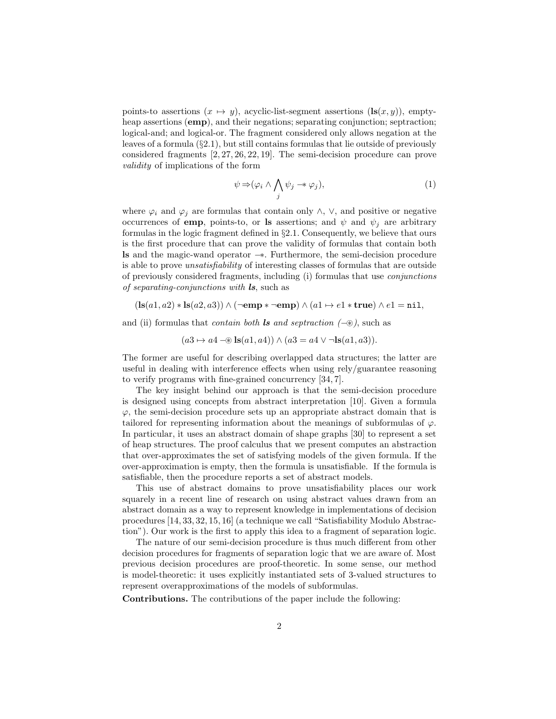points-to assertions  $(x \mapsto y)$ , acyclic-list-segment assertions  $(\mathbf{ls}(x, y))$ , emptyheap assertions (emp), and their negations; separating conjunction; septraction; logical-and; and logical-or. The fragment considered only allows negation at the leaves of a formula  $(\S 2.1)$ , but still contains formulas that lie outside of previously considered fragments [2, 27, 26, 22, 19]. The semi-decision procedure can prove *validity* of implications of the form

$$
\psi \Rightarrow (\varphi_i \land \bigwedge_j \psi_j \twoheadrightarrow \varphi_j), \tag{1}
$$

where  $\varphi_i$  and  $\varphi_j$  are formulas that contain only  $\wedge$ ,  $\vee$ , and positive or negative occurrences of emp, points-to, or ls assertions; and  $\psi$  and  $\psi_j$  are arbitrary formulas in the logic fragment defined in §2.1. Consequently, we believe that ours is the first procedure that can prove the validity of formulas that contain both ls and the magic-wand operator −∗. Furthermore, the semi-decision procedure is able to prove *unsatisfiability* of interesting classes of formulas that are outside of previously considered fragments, including (i) formulas that use *conjunctions of separating-conjunctions with* ls, such as

 $(ls(a1, a2) * ls(a2, a3)) \wedge (\neg emp * \neg emp) \wedge (a1 \rightarrow e1 * true) \wedge e1 = nil,$ 

and (ii) formulas that *contain both* ls *and septraction (*−⊛*)*, such as

 $(a3 \mapsto a4 - \mathcal{B} \mathbf{ls}(a1, a4)) \wedge (a3 = a4 \vee \neg \mathbf{ls}(a1, a3)).$ 

The former are useful for describing overlapped data structures; the latter are useful in dealing with interference effects when using rely/guarantee reasoning to verify programs with fine-grained concurrency [34, 7].

The key insight behind our approach is that the semi-decision procedure is designed using concepts from abstract interpretation [10]. Given a formula  $\varphi$ , the semi-decision procedure sets up an appropriate abstract domain that is tailored for representing information about the meanings of subformulas of  $\varphi$ . In particular, it uses an abstract domain of shape graphs [30] to represent a set of heap structures. The proof calculus that we present computes an abstraction that over-approximates the set of satisfying models of the given formula. If the over-approximation is empty, then the formula is unsatisfiable. If the formula is satisfiable, then the procedure reports a set of abstract models.

This use of abstract domains to prove unsatisfiability places our work squarely in a recent line of research on using abstract values drawn from an abstract domain as a way to represent knowledge in implementations of decision procedures [14, 33, 32, 15, 16] (a technique we call "Satisfiability Modulo Abstraction"). Our work is the first to apply this idea to a fragment of separation logic.

The nature of our semi-decision procedure is thus much different from other decision procedures for fragments of separation logic that we are aware of. Most previous decision procedures are proof-theoretic. In some sense, our method is model-theoretic: it uses explicitly instantiated sets of 3-valued structures to represent overapproximations of the models of subformulas.

Contributions. The contributions of the paper include the following: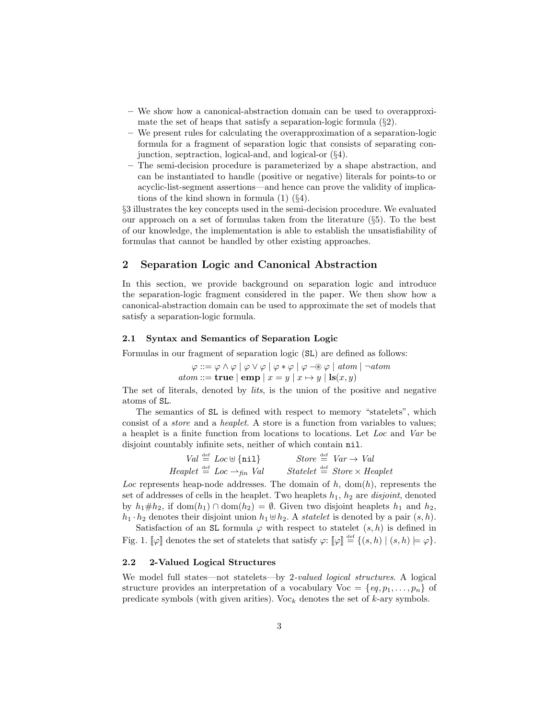- We show how a canonical-abstraction domain can be used to overapproximate the set of heaps that satisfy a separation-logic formula  $(\S 2)$ .
- We present rules for calculating the overapproximation of a separation-logic formula for a fragment of separation logic that consists of separating conjunction, septraction, logical-and, and logical-or (§4).
- The semi-decision procedure is parameterized by a shape abstraction, and can be instantiated to handle (positive or negative) literals for points-to or acyclic-list-segment assertions—and hence can prove the validity of implications of the kind shown in formula  $(1)$   $(\S4)$ .

§3 illustrates the key concepts used in the semi-decision procedure. We evaluated our approach on a set of formulas taken from the literature (§5). To the best of our knowledge, the implementation is able to establish the unsatisfiability of formulas that cannot be handled by other existing approaches.

#### 2 Separation Logic and Canonical Abstraction

In this section, we provide background on separation logic and introduce the separation-logic fragment considered in the paper. We then show how a canonical-abstraction domain can be used to approximate the set of models that satisfy a separation-logic formula.

#### 2.1 Syntax and Semantics of Separation Logic

Formulas in our fragment of separation logic (SL) are defined as follows:

 $\varphi ::= \varphi \land \varphi \mid \varphi \lor \varphi \mid \varphi * \varphi \mid \varphi \neg \circledast \varphi \mid atom \mid \neg atom$  $atom ::=$  **true**  $\vert$  **emp**  $\vert x = y \vert x \mapsto y \vert$  **ls** $(x, y)$ 

The set of literals, denoted by *lits*, is the union of the positive and negative atoms of SL.

The semantics of SL is defined with respect to memory "statelets", which consist of a *store* and a *heaplet*. A store is a function from variables to values; a heaplet is a finite function from locations to locations. Let *Loc* and *Var* be disjoint countably infinite sets, neither of which contain nil.

| $Val \stackrel{\text{def}}{=} Loc \oplus \{nil\}$                                             | Store $\stackrel{\text{def}}{=} \text{Var} \rightarrow \text{Val}$ |
|-----------------------------------------------------------------------------------------------|--------------------------------------------------------------------|
| $H \neq \text{depth} \stackrel{\text{def}}{=} \text{Loc} \rightarrow_{\text{fin}} \text{Val}$ | $Statelet \stackrel{\text{def}}{=} Store \times Heaplet$           |

Loc represents heap-node addresses. The domain of  $h$ , dom( $h$ ), represents the set of addresses of cells in the heaplet. Two heaplets  $h_1$ ,  $h_2$  are *disjoint*, denoted by  $h_1 \# h_2$ , if dom $(h_1) \cap \text{dom}(h_2) = \emptyset$ . Given two disjoint heaplets  $h_1$  and  $h_2$ ,  $h_1 \cdot h_2$  denotes their disjoint union  $h_1 \oplus h_2$ . A *statelet* is denoted by a pair  $(s, h)$ .

Satisfaction of an SL formula  $\varphi$  with respect to statelet  $(s, h)$  is defined in Fig. 1.  $\llbracket \varphi \rrbracket$  denotes the set of statelets that satisfy  $\varphi$ :  $\llbracket \varphi \rrbracket \stackrel{\text{def}}{=} \{ (s, h) \mid (s, h) \models \varphi \}.$ 

#### 2.2 2-Valued Logical Structures

We model full states—not statelets—by 2*-valued logical structures*. A logical structure provides an interpretation of a vocabulary  $\text{Voc} = \{eq, p_1, \ldots, p_n\}$  of predicate symbols (with given arities). Voc<sub>k</sub> denotes the set of  $k$ -ary symbols.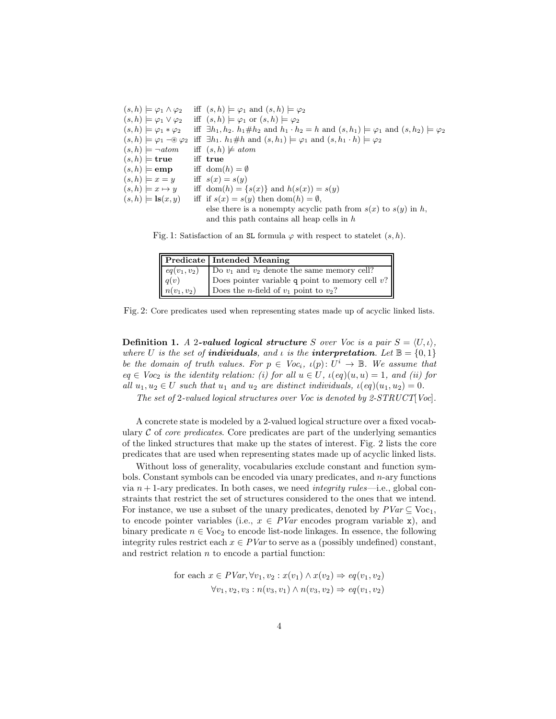| $(s, h) \models \varphi_1 \wedge \varphi_2$          | iff $(s, h) \models \varphi_1$ and $(s, h) \models \varphi_2$                                                                |
|------------------------------------------------------|------------------------------------------------------------------------------------------------------------------------------|
| $(s, h) \models \varphi_1 \vee \varphi_2$            | iff $(s, h) \models \varphi_1$ or $(s, h) \models \varphi_2$                                                                 |
| $(s, h) \models \varphi_1 * \varphi_2$               | iff $\exists h_1, h_2, h_1 \# h_2$ and $h_1 \cdot h_2 = h$ and $(s, h_1) \models \varphi_1$ and $(s, h_2) \models \varphi_2$ |
| $(s,h) \models \varphi_1 \neg \circledast \varphi_2$ | iff $\exists h_1 \ldotp h_1 \# h$ and $(s, h_1) \models \varphi_1$ and $(s, h_1 \ldotp h) \models \varphi_2$                 |
| $(s, h) \models \neg atom$                           | iff $(s, h) \not\models atom$                                                                                                |
| $(s,h) \models$ true                                 | iff true                                                                                                                     |
| $(s,h) \models$ <b>emp</b>                           | iff $dom(h) = \emptyset$                                                                                                     |
| $(s,h) \models x = y$                                | iff $s(x) = s(y)$                                                                                                            |
| $(s, h) \models x \mapsto y$                         | iff $dom(h) = \{s(x)\}\$ and $h(s(x)) = s(y)$                                                                                |
| $(s, h) \models \mathbf{ls}(x, y)$                   | iff if $s(x) = s(y)$ then $dom(h) = \emptyset$ ,                                                                             |
|                                                      | else there is a nonempty acyclic path from $s(x)$ to $s(y)$ in h,                                                            |
|                                                      | and this path contains all heap cells in $h$                                                                                 |

Fig. 1: Satisfaction of an SL formula  $\varphi$  with respect to statelet  $(s, h)$ .

| <b>Predicate Intended Meaning</b>                                                                                                                                                                                         |
|---------------------------------------------------------------------------------------------------------------------------------------------------------------------------------------------------------------------------|
| $\begin{cases}\neq(v_1, v_2) \\ q(v) \\ n(v_1, v_2)\n\end{cases}$ Do $v_1$ and $v_2$ denote the same memory cell?<br>$\begin{cases}\nq(v) \\ n(v_1, v_2)\n\end{cases}$ Does the <i>n</i> -field of $v_1$ point to $v_2$ ? |
| Does pointer variable $q$ point to memory cell $v$ ?                                                                                                                                                                      |
|                                                                                                                                                                                                                           |

Fig. 2: Core predicates used when representing states made up of acyclic linked lists.

**Definition 1.** A 2-valued logical structure S over Voc is a pair  $S = \langle U, \iota \rangle$ , *where* U *is the set of individuals, and <i>ι is the interpretation*. Let  $\mathbb{B} = \{0, 1\}$ *be the domain of truth values. For*  $p \in \text{Voc}_i$ ,  $\iota(p) \colon U^i \to \mathbb{B}$ . We assume that  $eq \in Voc_2$  *is the identity relation: (i) for all*  $u \in U$ *,*  $\iota(eq)(u, u) = 1$ *, and (ii) for all*  $u_1, u_2 \in U$  *such that*  $u_1$  *and*  $u_2$  *are distinct individuals,*  $\iota$ (*eq*)( $u_1, u_2$ ) = 0*.* 

*The set of* 2*-valued logical structures over Voc is denoted by 2-STRUCT*[*Voc*]*.*

A concrete state is modeled by a 2-valued logical structure over a fixed vocabulary  $C$  of *core predicates*. Core predicates are part of the underlying semantics of the linked structures that make up the states of interest. Fig. 2 lists the core predicates that are used when representing states made up of acyclic linked lists.

Without loss of generality, vocabularies exclude constant and function symbols. Constant symbols can be encoded via unary predicates, and  $n$ -ary functions via n + 1-ary predicates. In both cases, we need *integrity rules*—i.e., global constraints that restrict the set of structures considered to the ones that we intend. For instance, we use a subset of the unary predicates, denoted by  $PVar \subseteq \text{Voc}_1$ , to encode pointer variables (i.e.,  $x \in PVar$  encodes program variable x), and binary predicate  $n \in \text{Voc}_2$  to encode list-node linkages. In essence, the following integrity rules restrict each  $x \in \text{PVar}$  to serve as a (possibly undefined) constant, and restrict relation  $n$  to encode a partial function:

for each 
$$
x \in PVar
$$
,  $\forall v_1, v_2 : x(v_1) \land x(v_2) \Rightarrow eq(v_1, v_2)$   
 $\forall v_1, v_2, v_3 : n(v_3, v_1) \land n(v_3, v_2) \Rightarrow eq(v_1, v_2)$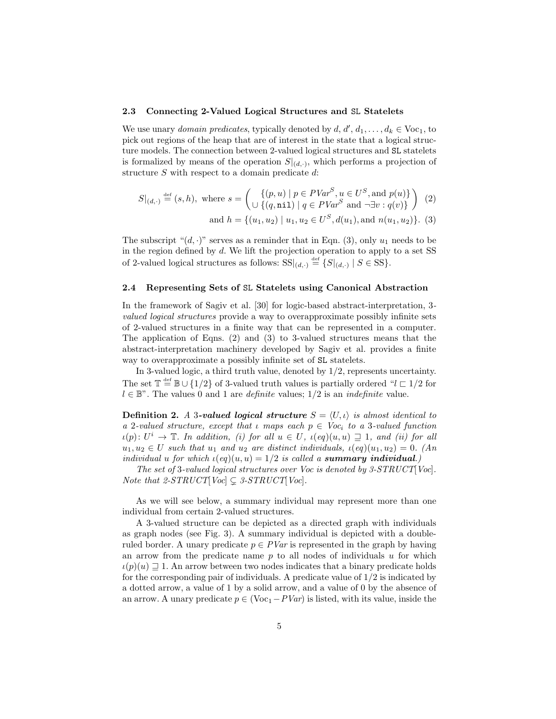#### 2.3 Connecting 2-Valued Logical Structures and SL Statelets

We use unary *domain predicates*, typically denoted by  $d, d', d_1, \ldots, d_k \in \text{Voc}_1$ , to pick out regions of the heap that are of interest in the state that a logical structure models. The connection between 2-valued logical structures and SL statelets is formalized by means of the operation  $S|_{(d,\cdot)}$ , which performs a projection of structure S with respect to a domain predicate d:

$$
S|_{(d,\cdot)} \stackrel{\text{def}}{=} (s,h), \text{ where } s = \left( \bigcup_{u \in \{q,\textbf{nil}\} \mid q \in PVar^S, u \in U^S, \text{ and } p(u) \} \right) (2)
$$

and  $h = \{(u_1, u_2) \mid u_1, u_2 \in U^S, d(u_1), \text{and } n(u_1, u_2)\}.$  (3)

The subscript " $(d, \cdot)$ " serves as a reminder that in Eqn. (3), only  $u_1$  needs to be in the region defined by d. We lift the projection operation to apply to a set SS of 2-valued logical structures as follows:  $SS|_{(d,\cdot)} \stackrel{\text{def}}{=} \{S|_{(d,\cdot)} | S \in SS\}.$ 

#### 2.4 Representing Sets of SL Statelets using Canonical Abstraction

In the framework of Sagiv et al. [30] for logic-based abstract-interpretation, 3 *valued logical structures* provide a way to overapproximate possibly infinite sets of 2-valued structures in a finite way that can be represented in a computer. The application of Eqns. (2) and (3) to 3-valued structures means that the abstract-interpretation machinery developed by Sagiv et al. provides a finite way to overapproximate a possibly infinite set of SL statelets.

In 3-valued logic, a third truth value, denoted by 1/2, represents uncertainty. The set  $\mathbb{T} \stackrel{\text{def}}{=} \mathbb{B} \cup \{1/2\}$  of 3-valued truth values is partially ordered " $l \subset 1/2$  for  $l \in \mathbb{B}^n$ . The values 0 and 1 are *definite* values;  $1/2$  is an *indefinite* value.

**Definition 2.** *A* 3-valued logical structure  $S = \langle U, \iota \rangle$  is almost identical to *a* 2*-valued structure, except that*  $\iota$  *maps each*  $p \in \text{Voc}_i$  *to a* 3*-valued function*  $u(p): U^i \to \mathbb{T}$ . In addition, (i) for all  $u \in U$ ,  $u(eq)(u, u) \supseteq 1$ , and (ii) for all  $u_1, u_2 \in U$  *such that*  $u_1$  *and*  $u_2$  *are distinct individuals,*  $\iota$ (*eq*)( $u_1, u_2$ ) = 0*.* (*An individual u for which*  $\iota$ (*eq*)(*u, u*) = 1/2 *is called a summary individual.*)

*The set of* 3*-valued logical structures over Voc is denoted by 3-STRUCT*[*Voc*]*. Note that 2-STRUCT*[ $Voc$ ]  $\subseteq$  3-STRUCT[ $Voc$ ].

As we will see below, a summary individual may represent more than one individual from certain 2-valued structures.

A 3-valued structure can be depicted as a directed graph with individuals as graph nodes (see Fig. 3). A summary individual is depicted with a doubleruled border. A unary predicate  $p \in \text{PVar}$  is represented in the graph by having an arrow from the predicate name  $p$  to all nodes of individuals  $u$  for which  $u(p)(u) \supseteq 1$ . An arrow between two nodes indicates that a binary predicate holds for the corresponding pair of individuals. A predicate value of  $1/2$  is indicated by a dotted arrow, a value of 1 by a solid arrow, and a value of 0 by the absence of an arrow. A unary predicate  $p \in (Voc_1 - PVar)$  is listed, with its value, inside the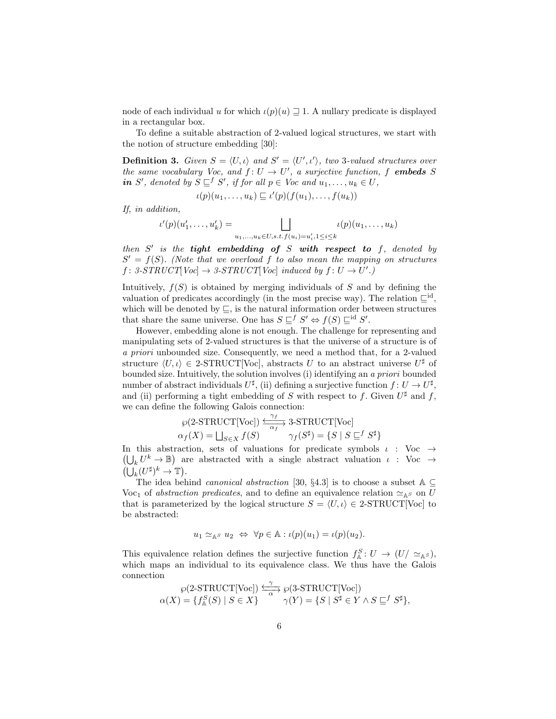node of each individual u for which  $\iota(p)(u) \supseteq 1$ . A nullary predicate is displayed in a rectangular box.

To define a suitable abstraction of 2-valued logical structures, we start with the notion of structure embedding [30]:

**Definition 3.** Given  $S = \langle U, \iota \rangle$  and  $S' = \langle U', \iota' \rangle$ , two 3-valued structures over *the same vocabulary Voc, and*  $f: U \to U'$ , a surjective function, f **embeds** S *in* S', denoted by  $S \sqsubseteq^f S'$ , if for all  $p \in V$ oc and  $u_1, \ldots, u_k \in U$ ,

$$
\iota(p)(u_1,\ldots,u_k)\sqsubseteq \iota'(p)(f(u_1),\ldots,f(u_k))
$$

*If, in addition,*

$$
\iota'(p)(u'_1, \dots, u'_k) = \bigsqcup_{u_1, \dots, u_k \in U, s.t. f(u_i) = u'_i, 1 \leq i \leq k} \iota(p)(u_1, \dots, u_k)
$$

*then* S ′ *is the* tight embedding of S with respect to f*, denoted by*  $S' = f(S)$ . (Note that we overload f to also mean the mapping on structures  $f: 3\text{-}STRUCT[Vec] \rightarrow 3\text{-}STRUCT[Vec]$  *induced by*  $f: U \rightarrow U'.$ 

Intuitively,  $f(S)$  is obtained by merging individuals of S and by defining the valuation of predicates accordingly (in the most precise way). The relation  $\sqsubseteq^{\text{id}}$ , which will be denoted by  $\sqsubseteq$ , is the natural information order between structures that share the same universe. One has  $S \sqsubseteq^f S' \Leftrightarrow f(S) \sqsubseteq^{\text{id}} S'$ .

However, embedding alone is not enough. The challenge for representing and manipulating sets of 2-valued structures is that the universe of a structure is of *a priori* unbounded size. Consequently, we need a method that, for a 2-valued structure  $\langle U, \iota \rangle \in 2\text{-STRUCT}[\text{Vec}],$  abstracts U to an abstract universe  $U^{\sharp}$  of bounded size. Intuitively, the solution involves (i) identifying an *a priori* bounded number of abstract individuals  $U^{\sharp}$ , (ii) defining a surjective function  $f: U \to U^{\sharp}$ , and (ii) performing a tight embedding of S with respect to f. Given  $U^{\sharp}$  and f, we can define the following Galois connection:

$$
\begin{array}{c} \wp(2\text{-}\mathrm{STRUCT}[\mathrm{Voc}]) \xrightarrow[\alpha_f]{\gamma_f} 3\text{-}\mathrm{STRUCT}[\mathrm{Voc}] \\ \alpha_f(X) = \bigsqcup_{S \in X} f(S) \end{array} \gamma_f(S^{\sharp}) = \{S \mid S \sqsubseteq^f S^{\sharp}\}
$$

In this abstraction, sets of valuations for predicate symbols  $\iota$  : Voc  $\rightarrow$  $\left(\bigcup_k U^k \to \mathbb{B}\right)$  are abstracted with a single abstract valuation  $\iota$  : Voc  $\to$  $\left(\bigcup_{k} (U^{\sharp})^{k} \to \mathbb{T}\right).$ 

The idea behind *canonical abstraction* [30, §4.3] is to choose a subset  $A \subseteq$ Voc<sub>1</sub> of *abstraction predicates*, and to define an equivalence relation  $\simeq_{\mathbb{A}^S}$  on U that is parameterized by the logical structure  $S = \langle U, \iota \rangle \in 2\text{-STRUCT}[\text{Vec}]$  to be abstracted:

$$
u_1 \simeq_{\mathbb{A}^S} u_2 \Leftrightarrow \forall p \in \mathbb{A} : \iota(p)(u_1) = \iota(p)(u_2).
$$

This equivalence relation defines the surjective function  $f_{\mathbb{A}}^{S}: U \to (U/\simeq_{\mathbb{A}^{S}})$ , which maps an individual to its equivalence class. We thus have the Galois connection

$$
\wp(2\text{-STRUCT}[\text{Voc}]) \xrightarrow[\alpha \to \infty]{\gamma} \wp(3\text{-STRUCT}[\text{Voc}])
$$
  

$$
\alpha(X) = \{f_{\mathbb{A}}^S(S) \mid S \in X\} \xrightarrow[\gamma(Y) = \{S \mid S^{\sharp} \in Y \land S \sqsubseteq^f S^{\sharp}\},
$$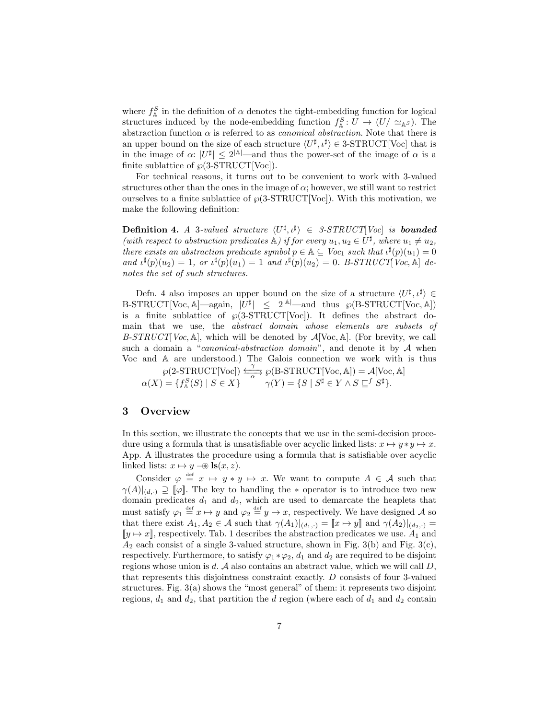where  $f_{\mathbb{A}}^S$  in the definition of  $\alpha$  denotes the tight-embedding function for logical structures induced by the node-embedding function  $f_{\mathbb{A}}^{S}: U \to (U/\simeq_{\mathbb{A}^{S}})$ . The abstraction function  $\alpha$  is referred to as *canonical abstraction*. Note that there is an upper bound on the size of each structure  $\langle U^{\sharp}, \iota^{\sharp} \rangle \in 3\text{-}STRUCT[{\rm Voc}]$  that is in the image of  $\alpha: |U^{\sharp}| \leq 2^{|A|}$  and thus the power-set of the image of  $\alpha$  is a finite sublattice of  $\wp(3\text{-}STRUCT[{\rm Voc}]).$ 

For technical reasons, it turns out to be convenient to work with 3-valued structures other than the ones in the image of  $\alpha$ ; however, we still want to restrict ourselves to a finite sublattice of  $\wp(3\text{-}STRUCT[{\rm Voc}])$ . With this motivation, we make the following definition:

**Definition 4.** *A* 3*-valued structure*  $\langle U^{\sharp}, \iota^{\sharp} \rangle \in 3$ -*STRUCT*[*Voc*] *is* **bounded** (with respect to abstraction predicates  $\mathbb{A}$ ) if for every  $u_1, u_2 \in U^{\sharp}$ , where  $u_1 \neq u_2$ , *there exists an abstraction predicate symbol*  $p \in \mathbb{A} \subseteq \text{Voc}_1$  *such that*  $\iota^{\sharp}(p)(u_1) = 0$ *and*  $\iota^{\sharp}(p)(u_2) = 1$ , or  $\iota^{\sharp}(p)(u_1) = 1$  *and*  $\iota^{\sharp}(p)(u_2) = 0$ . B-STRUCT[Voc, A] de*notes the set of such structures.*

Defn. 4 also imposes an upper bound on the size of a structure  $\langle U^{\sharp}, \iota^{\sharp} \rangle \in$  $B\text{-}STRUCT[Vec, A]$  again,  $|U^{\sharp}| \leq 2^{|A|}$  and thus  $\wp(B\text{-}STRUCT[Vec, A])$ is a finite sublattice of  $\wp(3\text{-}STRUCT[Vec])$ . It defines the abstract domain that we use, the *abstract domain whose elements are subsets of B-STRUCT*[*Voc*, A], which will be denoted by A[Voc, A]. (For brevity, we call such a domain a "*canonical-abstraction domain*", and denote it by A when Voc and A are understood.) The Galois connection we work with is thus

 $\wp(2\text{-}STRUCT[{\rm Voc}]) \xrightarrow[\alpha]{'}$  $\frac{\gamma}{\gamma}$  (B-STRUCT[Voc, A]) =  $\mathcal{A}$ [Voc, A]  $\alpha(X) = \{f_\mathbb{A}^S(S) \mid S \in X\}$   $\alpha(Y) = \{S \mid S^\sharp \in Y \wedge S \sqsubseteq^f S^\sharp\}.$ 

#### 3 Overview

In this section, we illustrate the concepts that we use in the semi-decision procedure using a formula that is unsatisfiable over acyclic linked lists:  $x \mapsto y * y \mapsto x$ . App. A illustrates the procedure using a formula that is satisfiable over acyclic linked lists:  $x \mapsto y \in \mathbb{R}(x, z)$ .

Consider  $\varphi \stackrel{\text{def}}{=} x \mapsto y * y \mapsto x$ . We want to compute  $A \in \mathcal{A}$  such that  $\gamma(A)|_{(d,\cdot)} \supseteq [\![\varphi]\!]$ . The key to handling the  $*$  operator is to introduce two new domain predicates  $d_1$  and  $d_2$ , which are used to demarcate the heaplets that must satisfy  $\varphi_1 \stackrel{\text{def}}{=} x \mapsto y$  and  $\varphi_2 \stackrel{\text{def}}{=} y \mapsto x$ , respectively. We have designed A so that there exist  $A_1, A_2 \in \mathcal{A}$  such that  $\gamma(A_1)|_{(d_1,\cdot)} = [x \mapsto y]$  and  $\gamma(A_2)|_{(d_2,\cdot)} =$  $[y \mapsto x]$ , respectively. Tab. 1 describes the abstraction predicates we use.  $A_1$  and  $A_2$  each consist of a single 3-valued structure, shown in Fig. 3(b) and Fig. 3(c), respectively. Furthermore, to satisfy  $\varphi_1 * \varphi_2$ ,  $d_1$  and  $d_2$  are required to be disjoint regions whose union is  $d$ .  $A$  also contains an abstract value, which we will call  $D$ , that represents this disjointness constraint exactly. D consists of four 3-valued structures. Fig.  $3(a)$  shows the "most general" of them: it represents two disjoint regions,  $d_1$  and  $d_2$ , that partition the d region (where each of  $d_1$  and  $d_2$  contain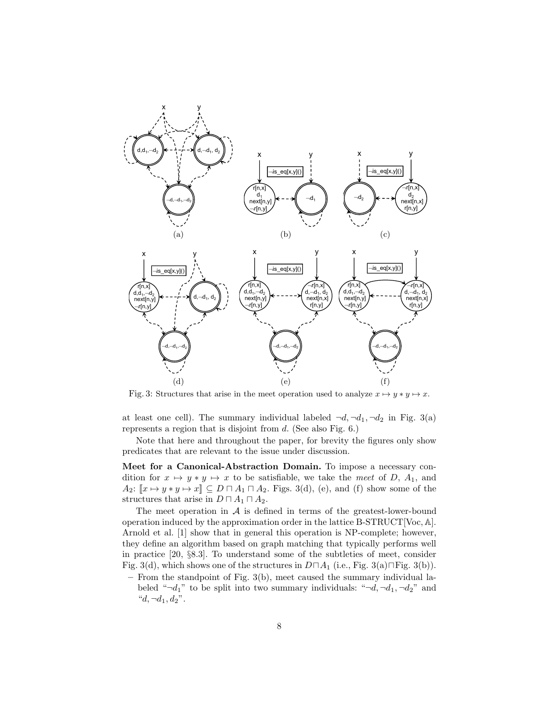

Fig. 3: Structures that arise in the meet operation used to analyze  $x \mapsto y * y \mapsto x$ .

at least one cell). The summary individual labeled  $\neg d, \neg d_1, \neg d_2$  in Fig. 3(a) represents a region that is disjoint from d. (See also Fig. 6.)

Note that here and throughout the paper, for brevity the figures only show predicates that are relevant to the issue under discussion.

Meet for a Canonical-Abstraction Domain. To impose a necessary condition for  $x \mapsto y * y \mapsto x$  to be satisfiable, we take the *meet* of D, A<sub>1</sub>, and  $A_2: [x \mapsto y * y \mapsto x] \subseteq D \sqcap A_1 \sqcap A_2$ . Figs. 3(d), (e), and (f) show some of the structures that arise in  $D \sqcap A_1 \sqcap A_2$ .

The meet operation in  $A$  is defined in terms of the greatest-lower-bound operation induced by the approximation order in the lattice B-STRUCT[Voc,  $\mathbb{A}$ ]. Arnold et al. [1] show that in general this operation is NP-complete; however, they define an algorithm based on graph matching that typically performs well in practice [20, §8.3]. To understand some of the subtleties of meet, consider Fig. 3(d), which shows one of the structures in  $D\Box A_1$  (i.e., Fig. 3(a) $\Box$ Fig. 3(b)).

– From the standpoint of Fig. 3(b), meet caused the summary individual labeled " $\neg d_1$ " to be split into two summary individuals: " $\neg d$ ,  $\neg d_1$ ,  $\neg d_2$ " and " $d, \neg d_1, d_2$ ".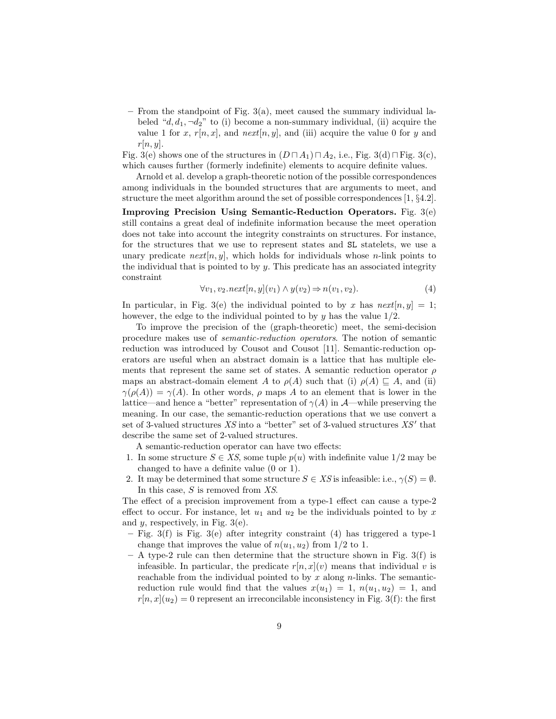– From the standpoint of Fig. 3(a), meet caused the summary individual labeled " $d, d_1, \neg d_2$ " to (i) become a non-summary individual, (ii) acquire the value 1 for x,  $r[n, x]$ , and  $next[n, y]$ , and (iii) acquire the value 0 for y and  $r[n, y]$ .

Fig. 3(e) shows one of the structures in  $(D \sqcap A_1) \sqcap A_2$ , i.e., Fig. 3(d) $\sqcap$  Fig. 3(c), which causes further (formerly indefinite) elements to acquire definite values.

Arnold et al. develop a graph-theoretic notion of the possible correspondences among individuals in the bounded structures that are arguments to meet, and structure the meet algorithm around the set of possible correspondences [1, §4.2].

Improving Precision Using Semantic-Reduction Operators. Fig. 3(e) still contains a great deal of indefinite information because the meet operation does not take into account the integrity constraints on structures. For instance, for the structures that we use to represent states and SL statelets, we use a unary predicate  $next[n, y]$ , which holds for individuals whose *n*-link points to the individual that is pointed to by  $y$ . This predicate has an associated integrity constraint

$$
\forall v_1, v_2.next[n, y](v_1) \land y(v_2) \Rightarrow n(v_1, v_2). \tag{4}
$$

In particular, in Fig. 3(e) the individual pointed to by x has  $next[n, y] = 1$ ; however, the edge to the individual pointed to by  $\eta$  has the value  $1/2$ .

To improve the precision of the (graph-theoretic) meet, the semi-decision procedure makes use of *semantic-reduction operators*. The notion of semantic reduction was introduced by Cousot and Cousot [11]. Semantic-reduction operators are useful when an abstract domain is a lattice that has multiple elements that represent the same set of states. A semantic reduction operator  $\rho$ maps an abstract-domain element A to  $\rho(A)$  such that (i)  $\rho(A) \subseteq A$ , and (ii)  $\gamma(\rho(A)) = \gamma(A)$ . In other words,  $\rho$  maps A to an element that is lower in the lattice—and hence a "better" representation of  $\gamma(A)$  in  $\mathcal{A}$ —while preserving the meaning. In our case, the semantic-reduction operations that we use convert a set of 3-valued structures  $XS$  into a "better" set of 3-valued structures  $XS'$  that describe the same set of 2-valued structures.

A semantic-reduction operator can have two effects:

- 1. In some structure  $S \in \mathcal{X}S$ , some tuple  $p(u)$  with indefinite value  $1/2$  may be changed to have a definite value (0 or 1).
- 2. It may be determined that some structure  $S \in \overline{XS}$  is infeasible: i.e.,  $\gamma(S) = \emptyset$ . In this case, S is removed from *XS*.

The effect of a precision improvement from a type-1 effect can cause a type-2 effect to occur. For instance, let  $u_1$  and  $u_2$  be the individuals pointed to by x and  $y$ , respectively, in Fig. 3(e).

- $-$  Fig. 3(f) is Fig. 3(e) after integrity constraint (4) has triggered a type-1 change that improves the value of  $n(u_1, u_2)$  from 1/2 to 1.
- $A$  type-2 rule can then determine that the structure shown in Fig. 3(f) is infeasible. In particular, the predicate  $r[n, x](v)$  means that individual v is reachable from the individual pointed to by x along  $n$ -links. The semanticreduction rule would find that the values  $x(u_1) = 1$ ,  $n(u_1, u_2) = 1$ , and  $r[n, x](u_2) = 0$  represent an irreconcilable inconsistency in Fig. 3(f): the first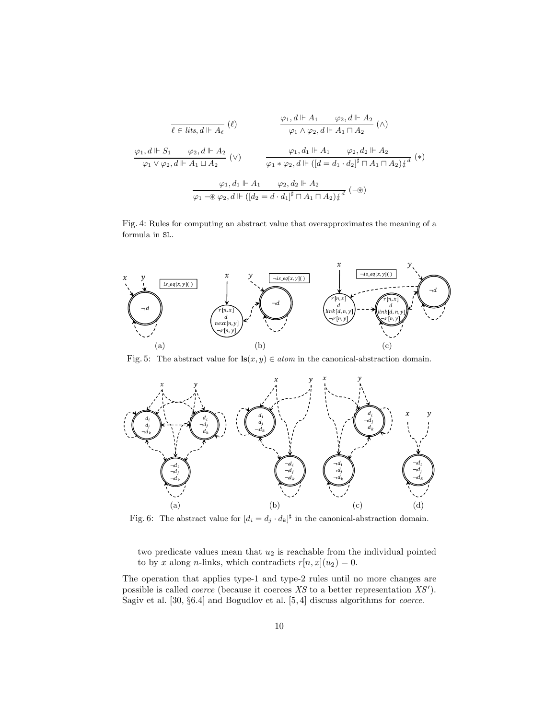$$
\frac{\varphi_1, d \Vdash A_1 \qquad \varphi_2, d \Vdash A_2}{\varphi_1 \wedge \varphi_2, d \Vdash A_1 \sqcap A_2} (\wedge)
$$
\n
$$
\frac{\varphi_1, d \Vdash A_1 \qquad \varphi_2, d \Vdash A_2}{\varphi_1 \wedge \varphi_2, d \Vdash A_1 \sqcap A_2} (\wedge)
$$
\n
$$
\frac{\varphi_1, d \Vdash S_1 \qquad \varphi_2, d \Vdash A_2}{\varphi_1 \vee \varphi_2, d \Vdash A_1 \sqcup A_2} (\vee)
$$
\n
$$
\frac{\varphi_1, d_1 \Vdash A_1 \qquad \varphi_2, d_2 \Vdash A_2}{\varphi_1 \cdot \varphi_2, d \Vdash ([d = d_1 \cdot d_2]^{\sharp} \sqcap A_1 \sqcap A_2) \zeta^d} (\ast)
$$
\n
$$
\frac{\varphi_1, d_1 \Vdash A_1 \qquad \varphi_2, d_2 \Vdash A_2}{\varphi_1 \cdot \varphi_2, d \Vdash ([d_2 = d \cdot d_1]^{\sharp} \sqcap A_1 \sqcap A_2) \zeta^d} (\neg \circledast)
$$

Fig. 4: Rules for computing an abstract value that overapproximates the meaning of a formula in SL.



Fig. 5: The abstract value for  $\mathbf{ls}(x, y) \in atom$  in the canonical-abstraction domain.



Fig. 6: The abstract value for  $[d_i = d_j \cdot d_k]^{\sharp}$  in the canonical-abstraction domain.

two predicate values mean that  $u_2$  is reachable from the individual pointed to by x along n-links, which contradicts  $r[n, x](u_2) = 0$ .

The operation that applies type-1 and type-2 rules until no more changes are possible is called *coerce* (because it coerces XS to a better representation XS'). Sagiv et al. [30, §6.4] and Bogudlov et al. [5, 4] discuss algorithms for *coerce*.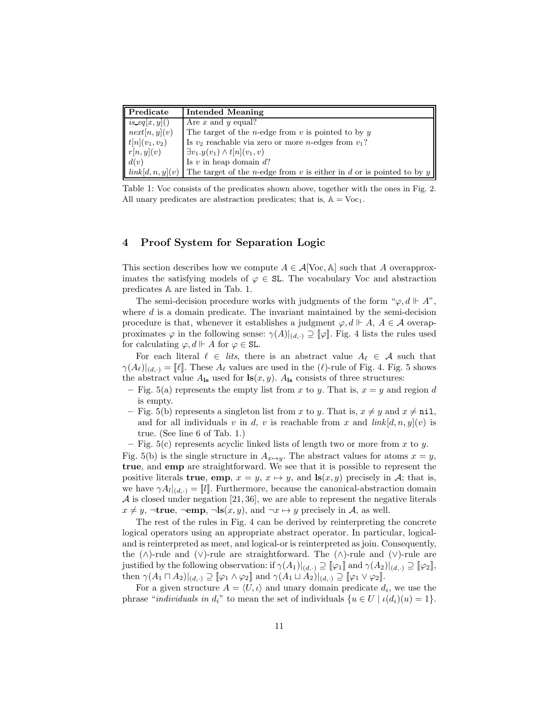| Predicate                        | <b>Intended Meaning</b>                                                      |
|----------------------------------|------------------------------------------------------------------------------|
| $is\_eq[x,y]()$                  | Are x and y equal?                                                           |
| $\left  \right $ next $[n,y](v)$ | The target of the <i>n</i> -edge from $v$ is pointed to by $y$               |
| $t[n](v_1, v_2)$                 | Is $v_2$ reachable via zero or more <i>n</i> -edges from $v_1$ ?             |
| r[n,y](v)                        | $\exists v_1.y(v_1)\wedge t[n](v_1,v)$                                       |
| d(v)                             | Is $v$ in heap domain $d$ ?                                                  |
| link[d, n, y](v)                 | The target of the <i>n</i> -edge from v is either in d or is pointed to by y |

Table 1: Voc consists of the predicates shown above, together with the ones in Fig. 2. All unary predicates are abstraction predicates; that is,  $A = \text{Voc}_1$ .

### 4 Proof System for Separation Logic

This section describes how we compute  $A \in \mathcal{A}[\text{Voc}, \mathbb{A}]$  such that A overapproximates the satisfying models of  $\varphi \in SL$ . The vocabulary Voc and abstraction predicates A are listed in Tab. 1.

The semi-decision procedure works with judgments of the form " $\varphi$ ,  $d \Vdash A$ ", where  $d$  is a domain predicate. The invariant maintained by the semi-decision procedure is that, whenever it establishes a judgment  $\varphi, d \vdash A, A \in \mathcal{A}$  overapproximates  $\varphi$  in the following sense:  $\gamma(A)|_{(d,\cdot)} \supseteq [\varphi]$ . Fig. 4 lists the rules used for calculating  $\varphi, d \Vdash A$  for  $\varphi \in SL$ .

For each literal  $\ell \in \text{lits}$ , there is an abstract value  $A_{\ell} \in \mathcal{A}$  such that  $\gamma(A_{\ell})|_{(d,\cdot)} = {\ell}$ . These  $A_{\ell}$  values are used in the  $(\ell)$ -rule of Fig. 4. Fig. 5 shows the abstract value  $A_{\text{ls}}$  used for  $\text{ls}(x, y)$ .  $A_{\text{ls}}$  consists of three structures:

- Fig. 5(a) represents the empty list from x to y. That is,  $x = y$  and region d is empty.
- Fig. 5(b) represents a singleton list from x to y. That is,  $x \neq y$  and  $x \neq \text{nil}$ , and for all individuals v in d, v is reachable from x and  $link[d, n, y](v)$  is true. (See line 6 of Tab. 1.)
- Fig.  $5(c)$  represents acyclic linked lists of length two or more from x to y.

Fig. 5(b) is the single structure in  $A_{x\mapsto y}$ . The abstract values for atoms  $x = y$ , true, and emp are straightforward. We see that it is possible to represent the positive literals **true**, emp,  $x = y$ ,  $x \mapsto y$ , and **ls** $(x, y)$  precisely in A; that is, we have  $\gamma A_l|_{(d,\cdot)} = [l]$ . Furthermore, because the canonical-abstraction domain  $\mathcal A$  is closed under negation [21, 36], we are able to represent the negative literals  $x \neq y$ , ¬true, ¬emp, ¬ls $(x, y)$ , and ¬ $x \mapsto y$  precisely in A, as well.

The rest of the rules in Fig. 4 can be derived by reinterpreting the concrete logical operators using an appropriate abstract operator. In particular, logicaland is reinterpreted as meet, and logical-or is reinterpreted as join. Consequently, the (∧)-rule and (∨)-rule are straightforward. The (∧)-rule and (∨)-rule are justified by the following observation: if  $\gamma(A_1)|_{(d,\cdot)} \supseteq [\![\varphi_1]\!]$  and  $\gamma(A_2)|_{(d,\cdot)} \supseteq [\![\varphi_2]\!]$ , then  $\gamma(A_1 \sqcap A_2)|_{(d,\cdot)} \supseteq [\![\varphi_1 \wedge \varphi_2]\!]$  and  $\gamma(A_1 \sqcup A_2)|_{(d,\cdot)} \supseteq [\![\varphi_1 \vee \varphi_2]\!]$ .

For a given structure  $A = \langle U, \iota \rangle$  and unary domain predicate  $d_i$ , we use the phrase "*individuals in*  $d_i$ " to mean the set of individuals  $\{u \in U \mid \iota(d_i)(u) = 1\}.$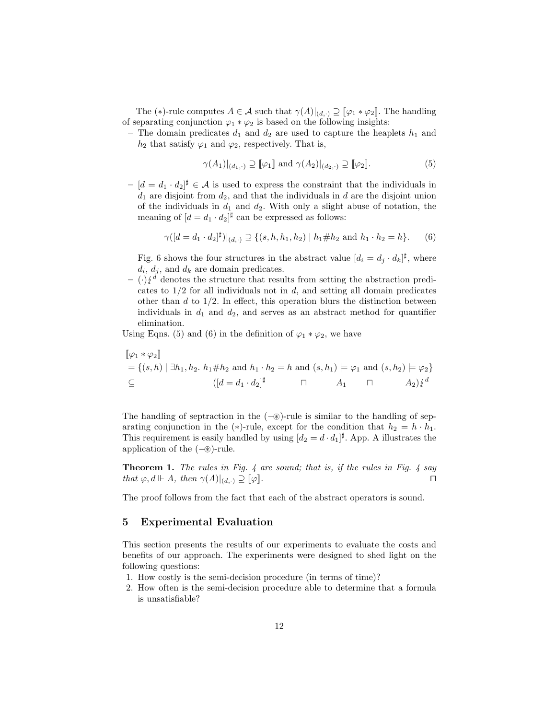The (\*)-rule computes  $A \in \mathcal{A}$  such that  $\gamma(A)|_{(d,\cdot)} \supseteq [\varphi_1 * \varphi_2]$ . The handling of separating conjunction  $\varphi_1 * \varphi_2$  is based on the following insights:

– The domain predicates  $d_1$  and  $d_2$  are used to capture the heaplets  $h_1$  and  $h_2$  that satisfy  $\varphi_1$  and  $\varphi_2$ , respectively. That is,

$$
\gamma(A_1)|_{(d_1,\cdot)} \supseteq [\![\varphi_1]\!] \text{ and } \gamma(A_2)|_{(d_2,\cdot)} \supseteq [\![\varphi_2]\!].\tag{5}
$$

 $-[d = d_1 \cdot d_2]^{\sharp} \in \mathcal{A}$  is used to express the constraint that the individuals in  $d_1$  are disjoint from  $d_2$ , and that the individuals in d are the disjoint union of the individuals in  $d_1$  and  $d_2$ . With only a slight abuse of notation, the meaning of  $[d = d_1 \cdot d_2]^{\sharp}$  can be expressed as follows:

$$
\gamma([d=d_1 \cdot d_2]^{\sharp})|_{(d,\cdot)} \supseteq \{(s, h, h_1, h_2) | h_1 \# h_2 \text{ and } h_1 \cdot h_2 = h\}. \tag{6}
$$

Fig. 6 shows the four structures in the abstract value  $[d_i = d_j \cdot d_k]^{\sharp}$ , where  $d_i, d_j$ , and  $d_k$  are domain predicates.

 $(\cdot)\frac{d}{dx}$  denotes the structure that results from setting the abstraction predicates to  $1/2$  for all individuals not in d, and setting all domain predicates other than  $d$  to  $1/2$ . In effect, this operation blurs the distinction between individuals in  $d_1$  and  $d_2$ , and serves as an abstract method for quantifier elimination.

Using Eqns. (5) and (6) in the definition of  $\varphi_1 * \varphi_2$ , we have

$$
\begin{aligned} [\![\varphi_1 * \varphi_2]\!] &= \{ (s, h) \mid \exists h_1, h_2. \ h_1 \# h_2 \text{ and } h_1 \cdot h_2 = h \text{ and } (s, h_1) \models \varphi_1 \text{ and } (s, h_2) \models \varphi_2 \} \\ \subseteq & \quad ([d = d_1 \cdot d_2]^{\sharp} \quad \sqcap \quad A_1 \quad \sqcap \quad A_2 \} \xi^d \end{aligned}
$$

The handling of septraction in the  $(-\circledast)$ -rule is similar to the handling of separating conjunction in the (\*)-rule, except for the condition that  $h_2 = h \cdot h_1$ . This requirement is easily handled by using  $[d_2 = d \cdot d_1]^{\sharp}$ . App. A illustrates the application of the (−⊛)-rule.

Theorem 1. *The rules in Fig. 4 are sound; that is, if the rules in Fig. 4 say that*  $\varphi, d \Vdash A$ *, then*  $\gamma(A)|_{(d,\cdot)} \supseteq [\varphi]$ *.* □

The proof follows from the fact that each of the abstract operators is sound.

#### 5 Experimental Evaluation

This section presents the results of our experiments to evaluate the costs and benefits of our approach. The experiments were designed to shed light on the following questions:

- 1. How costly is the semi-decision procedure (in terms of time)?
- 2. How often is the semi-decision procedure able to determine that a formula is unsatisfiable?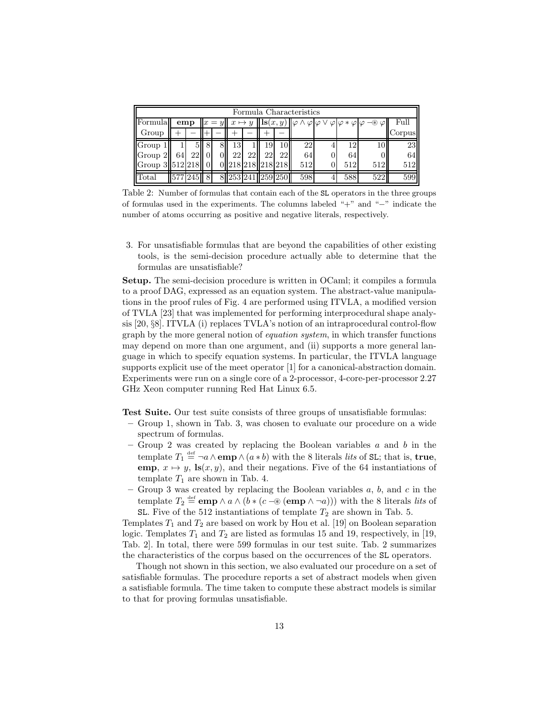| Formula Characteristics                              |            |         |                                 |  |                                                                                                 |    |     |    |     |                        |      |     |        |
|------------------------------------------------------|------------|---------|---------------------------------|--|-------------------------------------------------------------------------------------------------|----|-----|----|-----|------------------------|------|-----|--------|
| <b>Formula</b>                                       | emp<br>$=$ |         | $\mapsto y$<br>$\boldsymbol{x}$ |  | $\mathbf{ls}(x,y)$ $\ \varphi \wedge \varphi\ \varphi \vee \varphi\ \varphi * \varphi\ \varphi$ |    |     |    |     | $-\circledast \varphi$ | Full |     |        |
| Group                                                |            |         |                                 |  |                                                                                                 |    |     |    |     |                        |      |     | Corpus |
| Group                                                |            |         | 8                               |  | 13                                                                                              |    | 19. | 10 | 22  |                        | 12.  | 10  | 23     |
| Group 2                                              | 64         | 22      |                                 |  | 22                                                                                              | 22 | 22  | 22 | 64  | U                      | 64   |     | 64     |
| $\left\ $ Group 3 $\right\ $ 512 $\left 218\right\ $ |            |         |                                 |  | 0.218.218.218.218                                                                               |    |     |    | 512 |                        | 512  | 512 | 512    |
| Total                                                |            | 577 245 | 8                               |  | 8 253 241 259 250                                                                               |    |     |    | 598 |                        | 588  | 522 | 599    |

Table 2: Number of formulas that contain each of the SL operators in the three groups of formulas used in the experiments. The columns labeled "+" and "−" indicate the number of atoms occurring as positive and negative literals, respectively.

3. For unsatisfiable formulas that are beyond the capabilities of other existing tools, is the semi-decision procedure actually able to determine that the formulas are unsatisfiable?

Setup. The semi-decision procedure is written in OCaml; it compiles a formula to a proof DAG, expressed as an equation system. The abstract-value manipulations in the proof rules of Fig. 4 are performed using ITVLA, a modified version of TVLA [23] that was implemented for performing interprocedural shape analysis [20, §8]. ITVLA (i) replaces TVLA's notion of an intraprocedural control-flow graph by the more general notion of *equation system*, in which transfer functions may depend on more than one argument, and (ii) supports a more general language in which to specify equation systems. In particular, the ITVLA language supports explicit use of the meet operator [1] for a canonical-abstraction domain. Experiments were run on a single core of a 2-processor, 4-core-per-processor 2.27 GHz Xeon computer running Red Hat Linux 6.5.

Test Suite. Our test suite consists of three groups of unsatisfiable formulas:

- Group 1, shown in Tab. 3, was chosen to evaluate our procedure on a wide spectrum of formulas.
- Group 2 was created by replacing the Boolean variables  $a$  and  $b$  in the template  $T_1 \stackrel{\text{def}}{=} \neg a \wedge \text{emp} \wedge (a * b)$  with the 8 literals *lits* of SL; that is, **true**, emp,  $x \mapsto y$ , ls $(x, y)$ , and their negations. Five of the 64 instantiations of template  $T_1$  are shown in Tab. 4.
- Group 3 was created by replacing the Boolean variables  $a, b$ , and  $c$  in the template  $T_2 \stackrel{\text{def}}{=} \mathbf{emp} \wedge a \wedge (b * (c - \mathcal{D}) \mathbf{emp} \wedge \neg a))$  with the 8 literals *lits* of SL. Five of the 512 instantiations of template  $T_2$  are shown in Tab. 5.

Templates  $T_1$  and  $T_2$  are based on work by Hou et al. [19] on Boolean separation logic. Templates  $T_1$  and  $T_2$  are listed as formulas 15 and 19, respectively, in [19, Tab. 2]. In total, there were 599 formulas in our test suite. Tab. 2 summarizes the characteristics of the corpus based on the occurrences of the SL operators.

Though not shown in this section, we also evaluated our procedure on a set of satisfiable formulas. The procedure reports a set of abstract models when given a satisfiable formula. The time taken to compute these abstract models is similar to that for proving formulas unsatisfiable.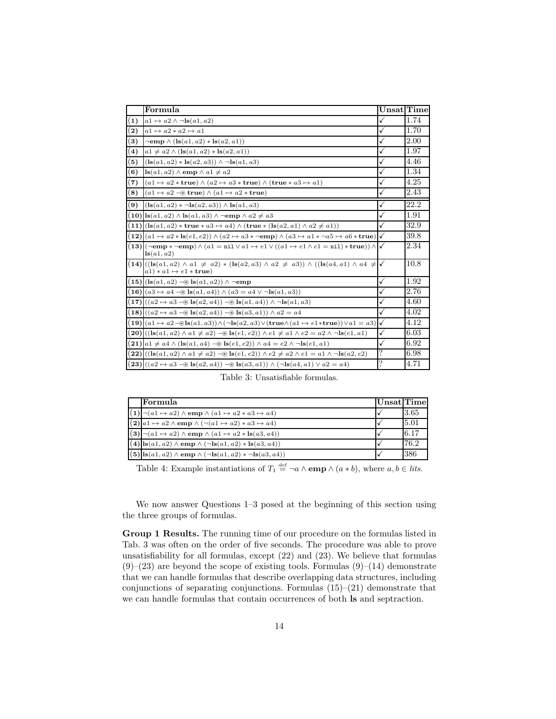|                   | Formula                                                                                                                                                                      | $Unsat$ Time       |      |
|-------------------|------------------------------------------------------------------------------------------------------------------------------------------------------------------------------|--------------------|------|
|                   |                                                                                                                                                                              |                    |      |
| (1)               | $a1 \mapsto a2 \wedge \neg \text{ls}(a1, a2)$                                                                                                                                | √                  | 1.74 |
| $\mathbf{2})$     | $a1 \mapsto a2 * a2 \mapsto a1$                                                                                                                                              | ✓                  | 1.70 |
| $\bf (3)$         | $\neg$ emp $\wedge$ (ls $(a1, a2) *$ ls $(a2, a1)$ )                                                                                                                         | ✓                  | 2.00 |
| $\left( 4\right)$ | $a1 \neq a2 \wedge (\text{ls}(a1, a2) * \text{ls}(a2, a1))$                                                                                                                  | ✓                  | 1.97 |
| 5)                | $(\text{ls}(a1, a2) * \text{ls}(a2, a3)) \wedge \neg \text{ls}(a1, a3)$                                                                                                      | ✓                  | 4.46 |
| $\left( 6\right)$ | $\mathbf{ls}(a1, a2) \wedge \mathbf{emp} \wedge a1 \neq a2$                                                                                                                  | ✓                  | 1.34 |
| (7)               | $(a1 \mapsto a2 * \text{true}) \wedge (a2 \mapsto a3 * \text{true}) \wedge (\text{true} * a3 \mapsto a1)$                                                                    | ✓                  | 4.25 |
| $\left(8\right)$  | $(a1 \mapsto a2 \in \mathbb{R}$ true) $\wedge (a1 \mapsto a2 * \mathbf{true})$                                                                                               | ✓                  | 2.43 |
| $\mathbf{9}$      | $(\text{ls}(a1, a2) * \neg \text{ls}(a2, a3)) \wedge \text{ls}(a1, a3)$                                                                                                      | ✓                  | 22.2 |
|                   | 10) $\vert$ ls $(a1, a2) \wedge$ ls $(a1, a3) \wedge \neg$ emp $\wedge a2 \neq a3$                                                                                           | ✓                  | 1.91 |
|                   | $(11) $ (ls $(a1, a2)$ * true * $a3 \mapsto a4$ ) $\wedge$ (true * (ls $(a2, a1) \wedge a2 \neq a1$ ))                                                                       | ✓                  | 32.9 |
|                   | $(12)(a1 \rightarrow a2 * \text{ls}(e1, e2)) \wedge (a2 \rightarrow a3 * \neg \text{emp}) \wedge (a3 \rightarrow a1 * \neg a5 \rightarrow a6 * \text{true})$                 | $\checkmark$       | 39.8 |
|                   | $(13)(\neg \text{emp} \ast \neg \text{emp}) \wedge (a1 = \text{nil} \vee a1 \mapsto e1 \vee ((a1 \mapsto e1 \wedge e1 = \text{nil}) \ast \text{true})) \wedge$<br>ls(a1, a2) | $\checkmark$       | 2.34 |
|                   | $(14) ((\lg(a1, a2) \land a1 \neq a2) * (\lg(a2, a3) \land a2 \neq a3)) \land ((\lg(a4, a1) \land a4 \neq 0))$<br>$a1) * a1 \mapsto e1 * true$                               | ✓                  | 10.8 |
|                   | $(15) $ (ls $(a1, a2)$ - $\circledast$ ls $(a1, a2)$ ) $\wedge$ ¬emp                                                                                                         | ✓                  | 1.92 |
|                   | 16) $(a3 \mapsto a4 - \textcircled{*} \text{ls}(a1, a4)) \wedge (a3 = a4 \vee \neg \text{ls}(a1, a3))$                                                                       | ✓                  | 2.76 |
|                   | $(17) ((a2 \mapsto a3 \rightarrow \mathbf{ls}(a2, a4)) \rightarrow \mathbf{ls}(a1, a4)) \wedge \neg \mathbf{ls}(a1, a3)$                                                     | ✓                  | 4.60 |
|                   | $(18) ((a2 \mapsto a3 - \circledast \text{ls}(a2, a4)) - \circledast \text{ls}(a3, a1)) \wedge a2 = a4$                                                                      | ✓                  | 4.02 |
|                   | 19) $ (a1 \rightarrow a2 - \text{BIs}(a1, a3)) \wedge (\neg \text{Is}(a2, a3) \vee (\text{true} \wedge (a1 \rightarrow e1 * \text{true})) \vee a1 = a3)$                     | ✓                  | 4.12 |
|                   | <b>20)</b> $((\text{ls}(a1, a2) \land a1 \neq a2) \rightarrow \text{ls}(e1, e2)) \land e1 \neq a1 \land e2 = a2 \land \neg \text{ls}(e1, a1)$                                | ✓                  | 6.03 |
|                   | <b>21)</b> $a_1 \neq a_4 \wedge (\text{ls}(a_1, a_4) - \text{ls}(e_1, e_2)) \wedge a_4 = e_2 \wedge \neg \text{ls}(e_1, a_1)$                                                | ✓                  | 6.92 |
|                   | $(22) ((\text{ls}(a1, a2) \wedge a1 \neq a2) - \circledast \text{ls}(e1, e2)) \wedge e2 \neq a2 \wedge e1 = a1 \wedge \neg \text{ls}(a2, e2)$                                | ?                  | 6.98 |
|                   | $(23) ((a2 \rightarrow a3 \rightarrow 8) \text{ls}(a2, a4)) - \text{ls}(a3, a1)) \wedge (\neg \text{ls}(a4, a1) \vee a2 = a4)$                                               | $\overline{\cdot}$ | 4.71 |

Table 3: Unsatisfiable formulas.

| Formula                                                                                             | Unsat Time |      |
|-----------------------------------------------------------------------------------------------------|------------|------|
| $ (1) \neg(a_1 \mapsto a_2) \wedge \text{emp} \wedge (a_1 \mapsto a_2 \ast a_3 \mapsto a_4)$        |            | 3.65 |
| $(2)$ $a1 \mapsto a2 \wedge$ emp $\wedge (\neg (a1 \mapsto a2) * a3 \mapsto a4)$                    |            | 5.01 |
| $\vert (3) \vert \neg (a1 \mapsto a2) \wedge \text{emp} \wedge (a1 \mapsto a2 * \text{ls}(a3, a4))$ |            | 6.17 |
| $(4)$ $\vert$ ls $(a1, a2) \wedge$ emp $\wedge (\neg$ ls $(a1, a2) *$ ls $(a3, a4))$                |            | 76.2 |
| $(5)$ $\vert$ Is $(a1, a2) \wedge$ emp $\wedge (\neg$ Is $(a1, a2) * \neg$ Is $(a3, a4))$           |            | 386  |

Table 4: Example instantiations of  $T_1 \stackrel{\text{def}}{=} \neg a \wedge \text{emp} \wedge (a * b)$ , where  $a, b \in \text{lists}$ .

We now answer Questions 1–3 posed at the beginning of this section using the three groups of formulas.

Group 1 Results. The running time of our procedure on the formulas listed in Tab. 3 was often on the order of five seconds. The procedure was able to prove unsatisfiability for all formulas, except (22) and (23). We believe that formulas  $(9)$ – $(23)$  are beyond the scope of existing tools. Formulas  $(9)$ – $(14)$  demonstrate that we can handle formulas that describe overlapping data structures, including conjunctions of separating conjunctions. Formulas  $(15)$ – $(21)$  demonstrate that we can handle formulas that contain occurrences of both ls and septraction.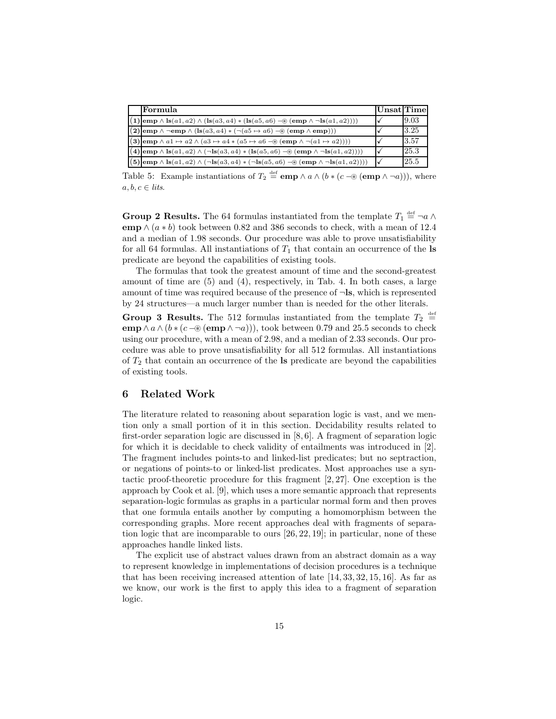| Formula                                                                                                                                                                                                      | Unsat Time |      |
|--------------------------------------------------------------------------------------------------------------------------------------------------------------------------------------------------------------|------------|------|
| $\overline{(1)$ emp $\land$ ls $(a1, a2) \land$ (ls $(a3, a4) *$ (ls $(a5, a6) \rightarrow$ (emp $\land \neg$ ls $(a1, a2))$ ))                                                                              |            | 9.03 |
| $\boxed{\mathbf{(2) [emp \wedge \neg emp \wedge (ls(a3, a4) * (\neg (a5 \mapsto a6) - \circledast (emp \wedge emp)))}}$                                                                                      |            | 3.25 |
| $(3)$ emp $\wedge$ a1 $\mapsto$ a2 $\wedge$ $(a3 \mapsto a4 * (a5 \mapsto a6 - \circledast (emp \wedge \neg (a1 \mapsto a2))))$                                                                              |            | 3.57 |
| $\overline{(\mathbf{4})\text{\tt\small[emp}} \land \overline{\text{\tt ls}(a1,a2)} \land (\neg \text{\tt ls}(a3,a4) * (\text{\tt ls}(a5,a6) -\circledast (\text{\tt emp} \land \neg \text{\tt ls}(a1,a2))))$ |            | 25.3 |
| $(5)$ emp $\wedge$ ls $(a1, a2) \wedge (\neg$ ls $(a3, a4) * (\neg$ ls $(a5, a6) \neg \circledast$ (emp $\wedge \neg$ ls $(a1, a2))))$                                                                       |            | 25.5 |

Table 5: Example instantiations of  $T_2 \stackrel{\text{def}}{=} \text{emp} \wedge a \wedge (b * (c - \circledast (\text{emp} \wedge \neg a)))$ , where  $a, b, c \in$  lits.

**Group 2 Results.** The 64 formulas instantiated from the template  $T_1 \stackrel{\text{def}}{=} \neg a \wedge$ emp  $\wedge$  (a \* b) took between 0.82 and 386 seconds to check, with a mean of 12.4 and a median of 1.98 seconds. Our procedure was able to prove unsatisfiability for all 64 formulas. All instantiations of  $T_1$  that contain an occurrence of the **ls** predicate are beyond the capabilities of existing tools.

The formulas that took the greatest amount of time and the second-greatest amount of time are (5) and (4), respectively, in Tab. 4. In both cases, a large amount of time was required because of the presence of  $\neg$ **ls**, which is represented by 24 structures—a much larger number than is needed for the other literals.

Group 3 Results. The 512 formulas instantiated from the template  $T_2 \stackrel{\text{def}}{=}$ emp  $\wedge a \wedge (b * (c - \circledast (emp \wedge \neg a)))$ , took between 0.79 and 25.5 seconds to check using our procedure, with a mean of 2.98, and a median of 2.33 seconds. Our procedure was able to prove unsatisfiability for all 512 formulas. All instantiations of  $T_2$  that contain an occurrence of the  $\bf{ls}$  predicate are beyond the capabilities of existing tools.

#### 6 Related Work

The literature related to reasoning about separation logic is vast, and we mention only a small portion of it in this section. Decidability results related to first-order separation logic are discussed in [8, 6]. A fragment of separation logic for which it is decidable to check validity of entailments was introduced in [2]. The fragment includes points-to and linked-list predicates; but no septraction, or negations of points-to or linked-list predicates. Most approaches use a syntactic proof-theoretic procedure for this fragment [2, 27]. One exception is the approach by Cook et al. [9], which uses a more semantic approach that represents separation-logic formulas as graphs in a particular normal form and then proves that one formula entails another by computing a homomorphism between the corresponding graphs. More recent approaches deal with fragments of separation logic that are incomparable to ours [26, 22, 19]; in particular, none of these approaches handle linked lists.

The explicit use of abstract values drawn from an abstract domain as a way to represent knowledge in implementations of decision procedures is a technique that has been receiving increased attention of late [14, 33, 32, 15, 16]. As far as we know, our work is the first to apply this idea to a fragment of separation logic.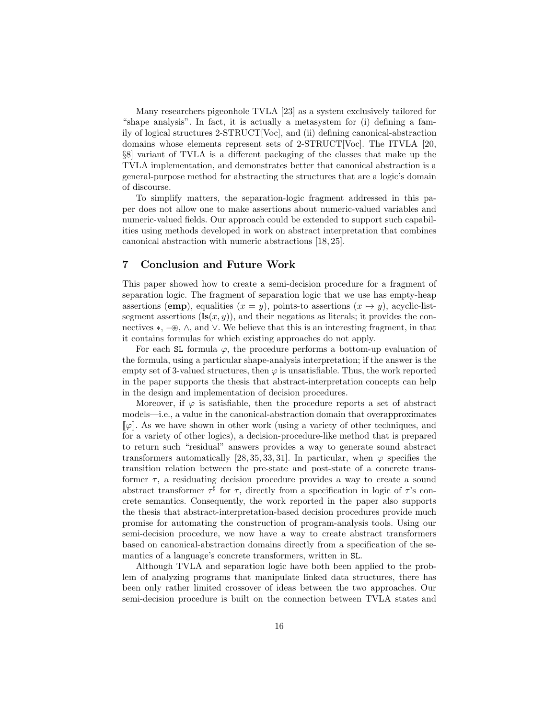Many researchers pigeonhole TVLA [23] as a system exclusively tailored for "shape analysis". In fact, it is actually a metasystem for (i) defining a family of logical structures 2-STRUCT[Voc], and (ii) defining canonical-abstraction domains whose elements represent sets of 2-STRUCT[Voc]. The ITVLA [20, §8] variant of TVLA is a different packaging of the classes that make up the TVLA implementation, and demonstrates better that canonical abstraction is a general-purpose method for abstracting the structures that are a logic's domain of discourse.

To simplify matters, the separation-logic fragment addressed in this paper does not allow one to make assertions about numeric-valued variables and numeric-valued fields. Our approach could be extended to support such capabilities using methods developed in work on abstract interpretation that combines canonical abstraction with numeric abstractions [18, 25].

#### 7 Conclusion and Future Work

This paper showed how to create a semi-decision procedure for a fragment of separation logic. The fragment of separation logic that we use has empty-heap assertions (emp), equalities  $(x = y)$ , points-to assertions  $(x \mapsto y)$ , acyclic-listsegment assertions  $(\mathbf{ls}(x, y))$ , and their negations as literals; it provides the connectives ∗, −⊛, ∧, and ∨. We believe that this is an interesting fragment, in that it contains formulas for which existing approaches do not apply.

For each SL formula  $\varphi$ , the procedure performs a bottom-up evaluation of the formula, using a particular shape-analysis interpretation; if the answer is the empty set of 3-valued structures, then  $\varphi$  is unsatisfiable. Thus, the work reported in the paper supports the thesis that abstract-interpretation concepts can help in the design and implementation of decision procedures.

Moreover, if  $\varphi$  is satisfiable, then the procedure reports a set of abstract models—i.e., a value in the canonical-abstraction domain that overapproximates  $\lbrack \! \lbrack \varphi \rbrack \! \rbrack$ . As we have shown in other work (using a variety of other techniques, and for a variety of other logics), a decision-procedure-like method that is prepared to return such "residual" answers provides a way to generate sound abstract transformers automatically [28, 35, 33, 31]. In particular, when  $\varphi$  specifies the transition relation between the pre-state and post-state of a concrete transformer  $\tau$ , a residuating decision procedure provides a way to create a sound abstract transformer  $\tau^{\sharp}$  for  $\tau$ , directly from a specification in logic of  $\tau$ 's concrete semantics. Consequently, the work reported in the paper also supports the thesis that abstract-interpretation-based decision procedures provide much promise for automating the construction of program-analysis tools. Using our semi-decision procedure, we now have a way to create abstract transformers based on canonical-abstraction domains directly from a specification of the semantics of a language's concrete transformers, written in SL.

Although TVLA and separation logic have both been applied to the problem of analyzing programs that manipulate linked data structures, there has been only rather limited crossover of ideas between the two approaches. Our semi-decision procedure is built on the connection between TVLA states and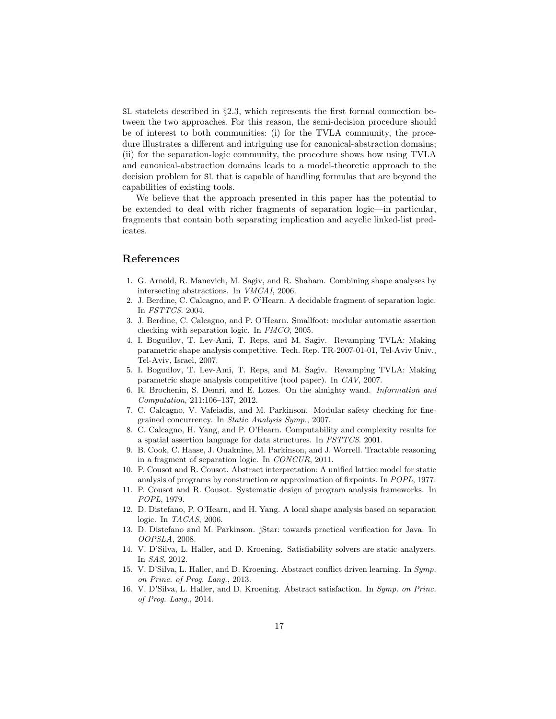$SL$  statelets described in  $\S 2.3$ , which represents the first formal connection between the two approaches. For this reason, the semi-decision procedure should be of interest to both communities: (i) for the TVLA community, the procedure illustrates a different and intriguing use for canonical-abstraction domains; (ii) for the separation-logic community, the procedure shows how using TVLA and canonical-abstraction domains leads to a model-theoretic approach to the decision problem for SL that is capable of handling formulas that are beyond the capabilities of existing tools.

We believe that the approach presented in this paper has the potential to be extended to deal with richer fragments of separation logic—in particular, fragments that contain both separating implication and acyclic linked-list predicates.

#### References

- 1. G. Arnold, R. Manevich, M. Sagiv, and R. Shaham. Combining shape analyses by intersecting abstractions. In VMCAI, 2006.
- 2. J. Berdine, C. Calcagno, and P. O'Hearn. A decidable fragment of separation logic. In FSTTCS. 2004.
- 3. J. Berdine, C. Calcagno, and P. O'Hearn. Smallfoot: modular automatic assertion checking with separation logic. In FMCO, 2005.
- 4. I. Bogudlov, T. Lev-Ami, T. Reps, and M. Sagiv. Revamping TVLA: Making parametric shape analysis competitive. Tech. Rep. TR-2007-01-01, Tel-Aviv Univ., Tel-Aviv, Israel, 2007.
- 5. I. Bogudlov, T. Lev-Ami, T. Reps, and M. Sagiv. Revamping TVLA: Making parametric shape analysis competitive (tool paper). In CAV, 2007.
- 6. R. Brochenin, S. Demri, and E. Lozes. On the almighty wand. Information and Computation, 211:106–137, 2012.
- 7. C. Calcagno, V. Vafeiadis, and M. Parkinson. Modular safety checking for finegrained concurrency. In Static Analysis Symp., 2007.
- 8. C. Calcagno, H. Yang, and P. O'Hearn. Computability and complexity results for a spatial assertion language for data structures. In FSTTCS. 2001.
- 9. B. Cook, C. Haase, J. Ouaknine, M. Parkinson, and J. Worrell. Tractable reasoning in a fragment of separation logic. In CONCUR, 2011.
- 10. P. Cousot and R. Cousot. Abstract interpretation: A unified lattice model for static analysis of programs by construction or approximation of fixpoints. In POPL, 1977.
- 11. P. Cousot and R. Cousot. Systematic design of program analysis frameworks. In POPL, 1979.
- 12. D. Distefano, P. O'Hearn, and H. Yang. A local shape analysis based on separation logic. In TACAS, 2006.
- 13. D. Distefano and M. Parkinson. jStar: towards practical verification for Java. In OOPSLA, 2008.
- 14. V. D'Silva, L. Haller, and D. Kroening. Satisfiability solvers are static analyzers. In SAS, 2012.
- 15. V. D'Silva, L. Haller, and D. Kroening. Abstract conflict driven learning. In Symp. on Princ. of Prog. Lang., 2013.
- 16. V. D'Silva, L. Haller, and D. Kroening. Abstract satisfaction. In Symp. on Princ. of Prog. Lang., 2014.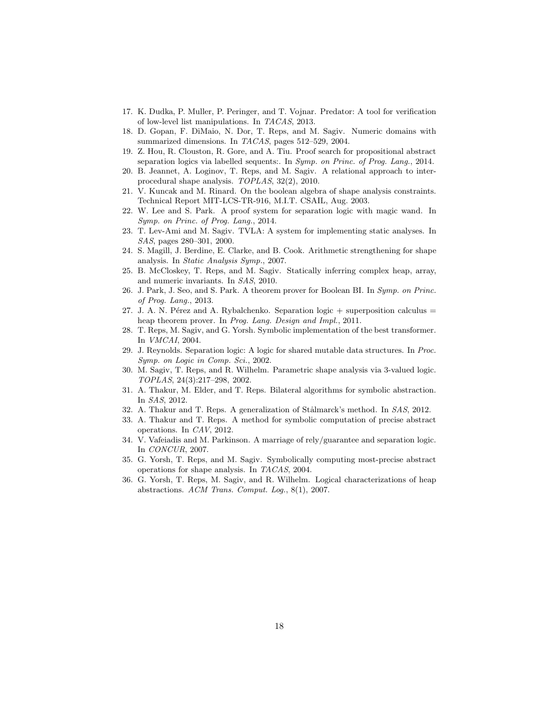- 17. K. Dudka, P. Muller, P. Peringer, and T. Vojnar. Predator: A tool for verification of low-level list manipulations. In TACAS, 2013.
- 18. D. Gopan, F. DiMaio, N. Dor, T. Reps, and M. Sagiv. Numeric domains with summarized dimensions. In TACAS, pages 512–529, 2004.
- 19. Z. Hou, R. Clouston, R. Gore, and A. Tiu. Proof search for propositional abstract separation logics via labelled sequents:. In Symp. on Princ. of Prog. Lang., 2014.
- 20. B. Jeannet, A. Loginov, T. Reps, and M. Sagiv. A relational approach to interprocedural shape analysis. TOPLAS, 32(2), 2010.
- 21. V. Kuncak and M. Rinard. On the boolean algebra of shape analysis constraints. Technical Report MIT-LCS-TR-916, M.I.T. CSAIL, Aug. 2003.
- 22. W. Lee and S. Park. A proof system for separation logic with magic wand. In Symp. on Princ. of Prog. Lang., 2014.
- 23. T. Lev-Ami and M. Sagiv. TVLA: A system for implementing static analyses. In SAS, pages 280–301, 2000.
- 24. S. Magill, J. Berdine, E. Clarke, and B. Cook. Arithmetic strengthening for shape analysis. In Static Analysis Symp., 2007.
- 25. B. McCloskey, T. Reps, and M. Sagiv. Statically inferring complex heap, array, and numeric invariants. In SAS, 2010.
- 26. J. Park, J. Seo, and S. Park. A theorem prover for Boolean BI. In Symp. on Princ. of Prog. Lang., 2013.
- 27. J. A. N. Pérez and A. Rybalchenko. Separation logic  $+$  superposition calculus  $=$ heap theorem prover. In Prog. Lang. Design and Impl., 2011.
- 28. T. Reps, M. Sagiv, and G. Yorsh. Symbolic implementation of the best transformer. In VMCAI, 2004.
- 29. J. Reynolds. Separation logic: A logic for shared mutable data structures. In Proc. Symp. on Logic in Comp. Sci., 2002.
- 30. M. Sagiv, T. Reps, and R. Wilhelm. Parametric shape analysis via 3-valued logic. TOPLAS, 24(3):217–298, 2002.
- 31. A. Thakur, M. Elder, and T. Reps. Bilateral algorithms for symbolic abstraction. In SAS, 2012.
- 32. A. Thakur and T. Reps. A generalization of Stålmarck's method. In SAS, 2012.
- 33. A. Thakur and T. Reps. A method for symbolic computation of precise abstract operations. In CAV, 2012.
- 34. V. Vafeiadis and M. Parkinson. A marriage of rely/guarantee and separation logic. In CONCUR, 2007.
- 35. G. Yorsh, T. Reps, and M. Sagiv. Symbolically computing most-precise abstract operations for shape analysis. In TACAS, 2004.
- 36. G. Yorsh, T. Reps, M. Sagiv, and R. Wilhelm. Logical characterizations of heap abstractions. ACM Trans. Comput. Log., 8(1), 2007.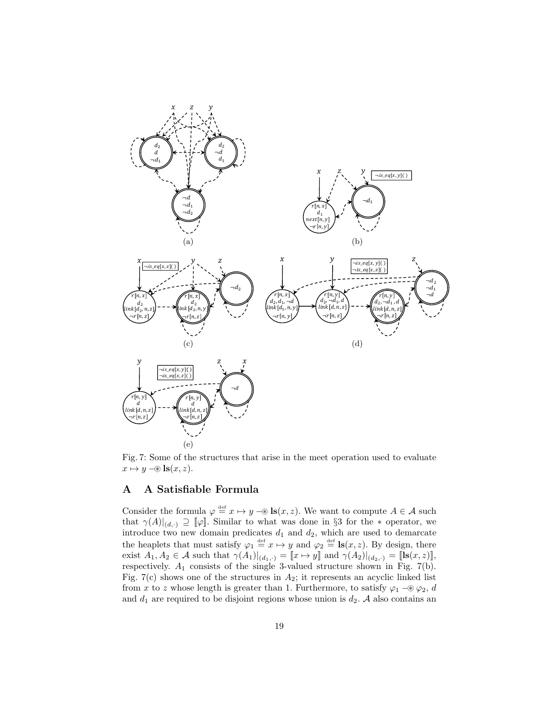

Fig. 7: Some of the structures that arise in the meet operation used to evaluate  $x \mapsto y \in \mathbf{ls}(x, z).$ 

## A A Satisfiable Formula

Consider the formula  $\varphi \stackrel{\text{def}}{=} x \mapsto y \in \mathbf{ls}(x, z)$ . We want to compute  $A \in \mathcal{A}$  such that  $\gamma(A)|_{(d,\cdot)} \supseteq [\![\varphi]\!]$ . Similar to what was done in §3 for the  $*$  operator, we introduce two new domain predicates  $d_1$  and  $d_2$ , which are used to demarcate the heaplets that must satisfy  $\varphi_1 \stackrel{\text{def}}{=} x \mapsto y$  and  $\varphi_2 \stackrel{\text{def}}{=} \text{Is}(x, z)$ . By design, there exist  $A_1, A_2 \in \mathcal{A}$  such that  $\gamma(A_1)|_{(d_1,\cdot)} = \llbracket x \mapsto y \rrbracket$  and  $\gamma(A_2)|_{(d_2,\cdot)} = \llbracket \mathbf{ls}(x, z) \rrbracket$ , respectively.  $A_1$  consists of the single 3-valued structure shown in Fig. 7(b). Fig. 7(c) shows one of the structures in  $A_2$ ; it represents an acyclic linked list from x to z whose length is greater than 1. Furthermore, to satisfy  $\varphi_1$  –®  $\varphi_2$ , d and  $d_1$  are required to be disjoint regions whose union is  $d_2$ . A also contains an